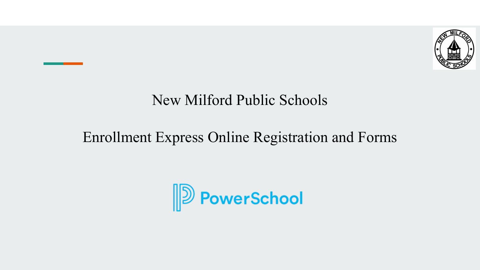

### New Milford Public Schools

### Enrollment Express Online Registration and Forms

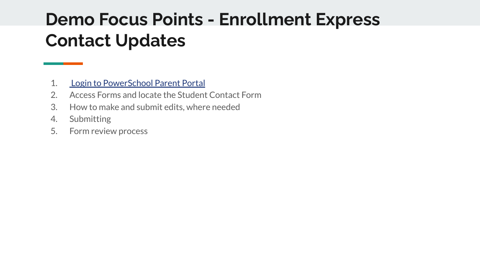# **Demo Focus Points - Enrollment Express Contact Updates**

- 1. [Login to PowerSchool Parent Portal](https://newmilfordps.powerschool.com/public)
- 2. Access Forms and locate the Student Contact Form
- 3. How to make and submit edits, where needed
- 4. Submitting
- 5. Form review process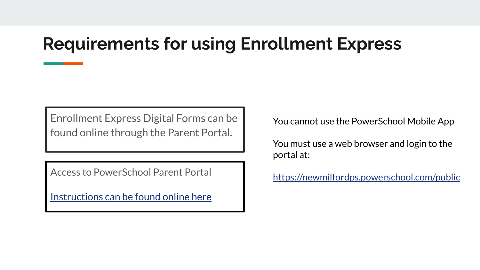# **Requirements for using Enrollment Express**

Enrollment Express Digital Forms can be found online through the Parent Portal.

Access to PowerSchool Parent Portal

[Instructions can be found online here](https://docs.google.com/document/d/1WGuLFkTgw0p8RJf3bmKa_f62EmRkFKTNQ2s6D73duyY/edit?usp=sharing)

You cannot use the PowerSchool Mobile App

You must use a web browser and login to the portal at:

<https://newmilfordps.powerschool.com/public>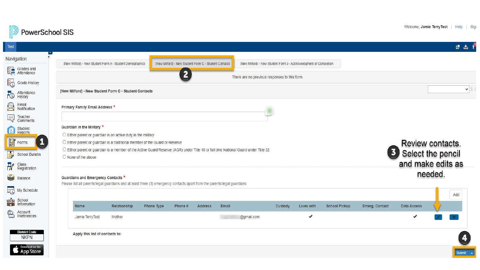

| Test                                                     |                                                                                                                                                                     |            |                                                       |         |                                                                   |         |              |                      |                         |                   |         | 四出       |  |
|----------------------------------------------------------|---------------------------------------------------------------------------------------------------------------------------------------------------------------------|------------|-------------------------------------------------------|---------|-------------------------------------------------------------------|---------|--------------|----------------------|-------------------------|-------------------|---------|----------|--|
| <b>Javigation</b>                                        | [New Milford] - New Student Form A - Student Demographics                                                                                                           |            | [New Milford] - New Student Form C - Student Contacts |         | [New Milford] - New Student Form J - Acknowledgment of Completion |         |              |                      |                         |                   |         |          |  |
| Srades and                                               | $\overline{2}$<br>There are no previous responses to this form.                                                                                                     |            |                                                       |         |                                                                   |         |              |                      |                         |                   |         |          |  |
| <b>EO</b><br><b>Grade History</b><br><b>N</b> Attendance | [New Milford] - New Student Form C - Student Contacts                                                                                                               |            |                                                       |         |                                                                   |         |              |                      | $\vee$                  |                   |         |          |  |
| Â<br>Email<br>Notification                               | Primary Family Email Address *                                                                                                                                      |            |                                                       |         |                                                                   |         |              |                      |                         |                   |         |          |  |
| Teacher<br>Comments<br>Ę                                 |                                                                                                                                                                     |            |                                                       |         |                                                                   |         |              |                      |                         |                   |         |          |  |
| Student<br>Reports<br>图                                  | Guardian in the Military *                                                                                                                                          |            |                                                       |         |                                                                   |         |              |                      |                         |                   |         |          |  |
| <b>PA</b> Forms                                          | $\bigcirc$ Either parent or guardian is on active duty in the military<br>O Either parent or guardian is a traditional member of the Guard or Reserve               |            |                                                       |         |                                                                   |         |              |                      |                         | Review contacts.  |         |          |  |
| $\div$<br><b>School Bulletin</b>                         | O Either parent or guardian is a member of the Active Guard/Reserve (AGR) under Title 10 or full time National Guard under Title 32<br>$\bigcirc$ None of the above |            |                                                       |         |                                                                   |         |              |                      | $\overline{\mathbf{3}}$ | Select the pencil |         |          |  |
| <b>De Class</b><br>Registration                          |                                                                                                                                                                     |            |                                                       |         |                                                                   |         |              |                      |                         | and make edits as |         |          |  |
| Balance                                                  | Guardians and Emergency Contacts *                                                                                                                                  |            |                                                       |         |                                                                   |         |              |                      |                         |                   | needed. |          |  |
| $\overline{\mathbb{C}}$<br>My Schedule                   | Please list all parents/legal guardians and at least three (3) emergency contacts apart from the parents/legal guardians                                            |            |                                                       |         |                                                                   |         |              |                      |                         |                   |         |          |  |
| anda School<br><b>and</b> Information                    |                                                                                                                                                                     |            |                                                       |         |                                                                   |         |              |                      |                         |                   |         | Add      |  |
| <b>Example 3</b><br>Preferences                          | Name<br>Relationship                                                                                                                                                | Phone Type | Phone #                                               | Address | Email                                                             | Custody | Lives with   | <b>School Pickup</b> | Emerg. Contact          | Data Access       |         |          |  |
|                                                          | Jamie TerryTest<br>Mother                                                                                                                                           |            |                                                       |         | @gmail.com                                                        |         | $\checkmark$ |                      |                         | ✔                 |         |          |  |
| <b>District Code</b><br><b>NKPN</b>                      | Apply this list of contacts to:                                                                                                                                     |            |                                                       |         |                                                                   |         |              |                      |                         |                   |         |          |  |
| Download on the<br>App Store                             |                                                                                                                                                                     |            |                                                       |         |                                                                   |         |              |                      |                         |                   |         | Submit A |  |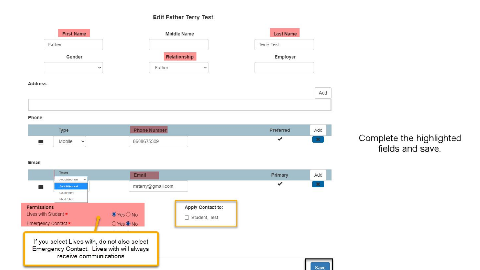#### Edit Father Terry Test

|                    | <b>First Name</b>                                                                                                   | Middle Name            | <b>Last Name</b>    |                   |      |
|--------------------|---------------------------------------------------------------------------------------------------------------------|------------------------|---------------------|-------------------|------|
|                    | Father                                                                                                              |                        |                     | <b>Terry Test</b> |      |
|                    | Gender                                                                                                              |                        | Relationship        | Employer          |      |
|                    | $\checkmark$                                                                                                        | Father                 | v                   |                   |      |
| <b>Address</b>     |                                                                                                                     |                        |                     |                   |      |
|                    |                                                                                                                     |                        |                     |                   | Add  |
|                    |                                                                                                                     |                        |                     |                   |      |
| Phone              |                                                                                                                     |                        |                     |                   |      |
|                    | Type                                                                                                                | <b>Phone Number</b>    |                     | Preferred         | Add  |
| ≣                  | Mobile<br>$\checkmark$                                                                                              | 8608675309             |                     |                   |      |
|                    |                                                                                                                     |                        |                     |                   |      |
| Email              |                                                                                                                     |                        |                     |                   |      |
|                    | Type<br>Additional<br>$\checkmark$                                                                                  | Email                  |                     | Primary           | Add  |
| ≣                  | <b>Additional</b>                                                                                                   | mrterry@gmail.com      |                     | ✔                 |      |
|                    | Current<br>Not Set                                                                                                  |                        |                     |                   |      |
| <b>Permissions</b> |                                                                                                                     |                        | Apply Contact to:   |                   |      |
|                    | Lives with Student *                                                                                                | $\odot$ Yes $\odot$ No | Student, Test<br>Ŋ. |                   |      |
|                    | Emergency Contact *                                                                                                 | O Yes <sup>O</sup> No  |                     |                   |      |
|                    | If you select Lives with, do not also select<br>Emergency Contact. Lives with will always<br>receive communications |                        |                     |                   |      |
|                    |                                                                                                                     |                        |                     |                   | Save |

Complete the highlighted<br>fields and save.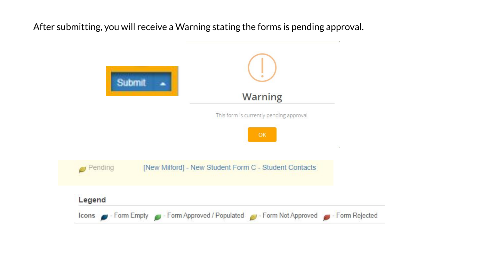After submitting, you will receive a Warning stating the forms is pending approval.

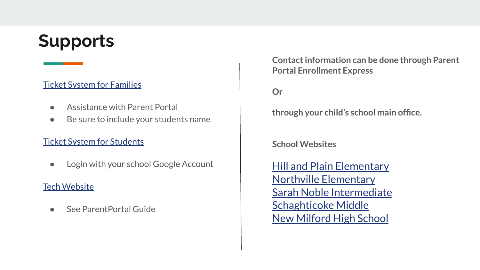# **Supports**

### [Ticket System for Families](https://www.google.com/url?q=https%3A%2F%2Fhelpdesk.newmilfordps.org%2FSiteManagerService%2F_parentform.html%3Fid%3D1%26cid%3D3%26eid%3D42%26sid%3D0101219e-bdff-ac10-6473-00155d781807&sa=D&sntz=1&usg=AFQjCNGhAJo3VUsd4An9qGzJuWN3qYvqUg)

- Assistance with Parent Portal
- Be sure to include your students name

#### [Ticket System for Students](https://newmilfordps.incidentiq.com/agent/dashboard)

● Login with your school Google Account

#### [Tech Website](https://sites.google.com/newmilfordps.org/nmpspublickb/students-and-families)

See ParentPortal Guide

**Contact information can be done through Parent Portal Enrollment Express**

**Or** 

**through your child's school main office.**

**School Websites**

[Hill and Plain Elementary](https://hps.newmilfordps.org/) [Northville Elementary](https://nes.newmilfordps.org/) [Sarah Noble Intermediate](https://snis.newmilfordps.org/) [Schaghticoke Middle](https://sms.newmilfordps.org/) [New Milford High School](https://nmhs.newmilfordps.org/)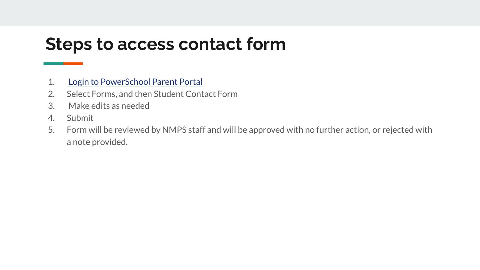## **Steps to access contact form**

- 1. [Login to PowerSchool Parent Portal](https://newmilfordps.powerschool.com/public)
- 2. Select Forms, and then Student Contact Form
- 3. Make edits as needed
- 4. Submit
- 5. Form will be reviewed by NMPS staff and will be approved with no further action, or rejected with a note provided.